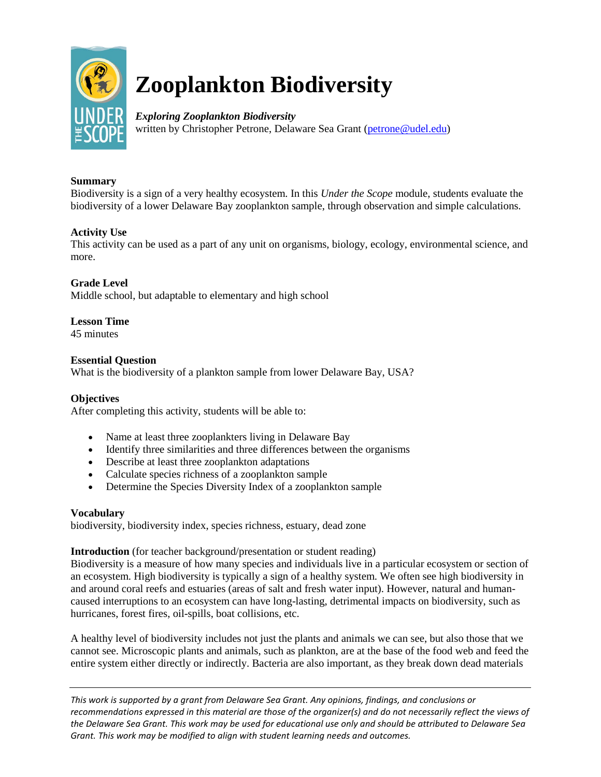

# **Zooplankton Biodiversity**

## *Exploring Zooplankton Biodiversity*

written by Christopher Petrone, Delaware Sea Grant [\(petrone@udel.edu\)](mailto:petrone@udel.edu)

#### **Summary**

Biodiversity is a sign of a very healthy ecosystem. In this *Under the Scope* module, students evaluate the biodiversity of a lower Delaware Bay zooplankton sample, through observation and simple calculations.

# **Activity Use**

This activity can be used as a part of any unit on organisms, biology, ecology, environmental science, and more.

**Grade Level** Middle school, but adaptable to elementary and high school

# **Lesson Time**

45 minutes

#### **Essential Question**

What is the biodiversity of a plankton sample from lower Delaware Bay, USA?

## **Objectives**

After completing this activity, students will be able to:

- Name at least three zooplankters living in Delaware Bay
- Identify three similarities and three differences between the organisms
- Describe at least three zooplankton adaptations
- Calculate species richness of a zooplankton sample
- Determine the Species Diversity Index of a zooplankton sample

#### **Vocabulary**

biodiversity, biodiversity index, species richness, estuary, dead zone

#### **Introduction** (for teacher background/presentation or student reading)

Biodiversity is a measure of how many species and individuals live in a particular ecosystem or section of an ecosystem. High biodiversity is typically a sign of a healthy system. We often see high biodiversity in and around coral reefs and estuaries (areas of salt and fresh water input). However, natural and humancaused interruptions to an ecosystem can have long-lasting, detrimental impacts on biodiversity, such as hurricanes, forest fires, oil-spills, boat collisions, etc.

A healthy level of biodiversity includes not just the plants and animals we can see, but also those that we cannot see. Microscopic plants and animals, such as plankton, are at the base of the food web and feed the entire system either directly or indirectly. Bacteria are also important, as they break down dead materials

*This work is supported by a grant from Delaware Sea Grant. Any opinions, findings, and conclusions or recommendations expressed in this material are those of the organizer(s) and do not necessarily reflect the views of the Delaware Sea Grant. This work may be used for educational use only and should be attributed to Delaware Sea Grant. This work may be modified to align with student learning needs and outcomes.*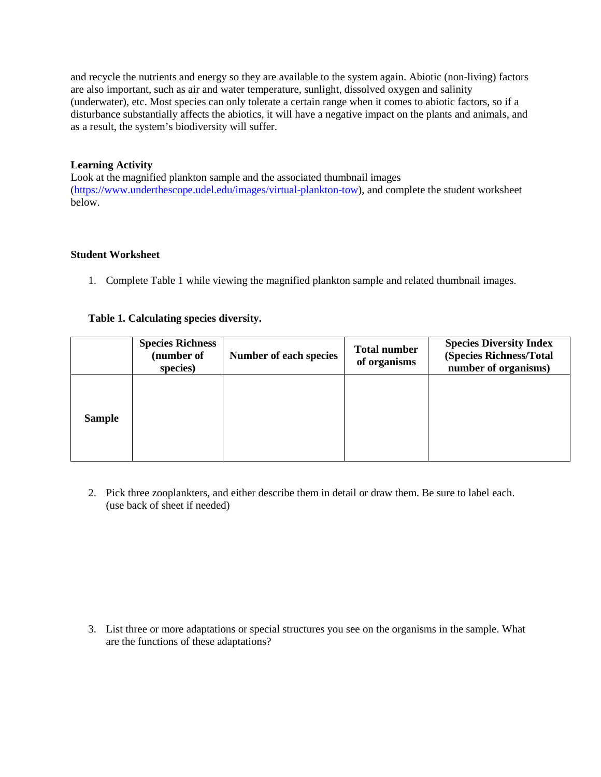and recycle the nutrients and energy so they are available to the system again. Abiotic (non-living) factors are also important, such as air and water temperature, sunlight, dissolved oxygen and salinity (underwater), etc. Most species can only tolerate a certain range when it comes to abiotic factors, so if a disturbance substantially affects the abiotics, it will have a negative impact on the plants and animals, and as a result, the system's biodiversity will suffer.

#### **Learning Activity**

Look at the magnified plankton sample and the associated thumbnail images [\(https://www.underthescope.udel.edu/images/virtual-plankton-tow\)](https://www.underthescope.udel.edu/images/virtual-plankton-tow), and complete the student worksheet below.

#### **Student Worksheet**

1. Complete Table 1 while viewing the magnified plankton sample and related thumbnail images.

#### **Table 1. Calculating species diversity.**

|               | <b>Species Richness</b><br>(number of<br>species) | Number of each species | <b>Total number</b><br>of organisms | <b>Species Diversity Index</b><br>(Species Richness/Total<br>number of organisms) |
|---------------|---------------------------------------------------|------------------------|-------------------------------------|-----------------------------------------------------------------------------------|
| <b>Sample</b> |                                                   |                        |                                     |                                                                                   |

2. Pick three zooplankters, and either describe them in detail or draw them. Be sure to label each. (use back of sheet if needed)

3. List three or more adaptations or special structures you see on the organisms in the sample. What are the functions of these adaptations?